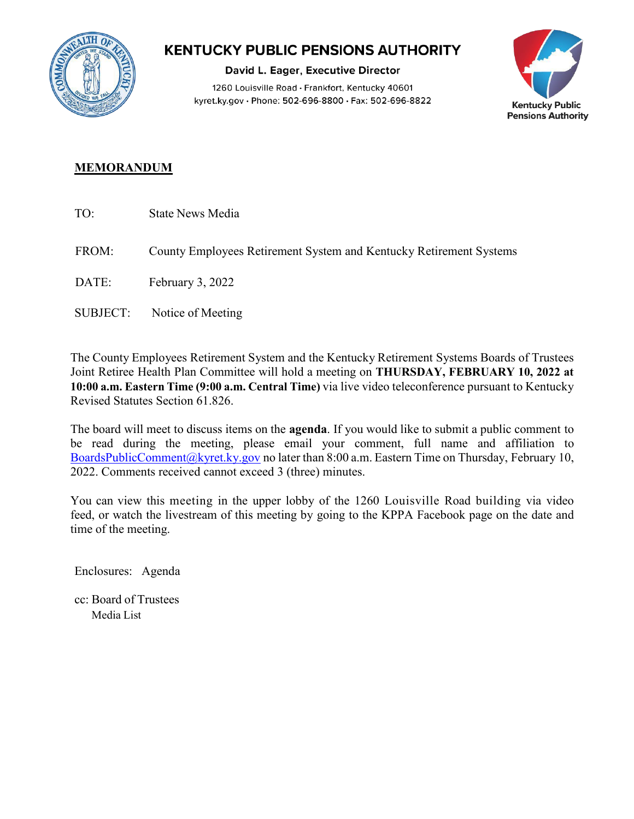

## **KENTUCKY PUBLIC PENSIONS AUTHORITY**

David L. Eager, Executive Director 1260 Louisville Road · Frankfort, Kentucky 40601 kyret.ky.gov · Phone: 502-696-8800 · Fax: 502-696-8822



## **MEMORANDUM**

- TO: State News Media
- FROM: County Employees Retirement System and Kentucky Retirement Systems
- DATE: February 3, 2022
- SUBJECT: Notice of Meeting

The County Employees Retirement System and the Kentucky Retirement Systems Boards of Trustees Joint Retiree Health Plan Committee will hold a meeting on **THURSDAY, FEBRUARY 10, 2022 at 10:00 a.m. Eastern Time (9:00 a.m. Central Time)** via live video teleconference pursuant to Kentucky Revised Statutes Section 61.826.

The board will meet to discuss items on the **agenda**. If you would like to submit a public comment to be read during the meeting, please email your comment, full name and affiliation to [BoardsPublicComment@kyret.ky.gov](https://kyret.ky.gov/About/Pages/submit-public-meeting-comments.aspx) no later than 8:00 a.m. Eastern Time on Thursday, February 10, 2022. Comments received cannot exceed 3 (three) minutes.

You can view this meeting in the upper lobby of the 1260 Louisville Road building via video feed, or watch the livestream of this meeting by going to the KPPA Facebook page on the date and time of the meeting.

Enclosures: Agenda

cc: Board of Trustees Media List